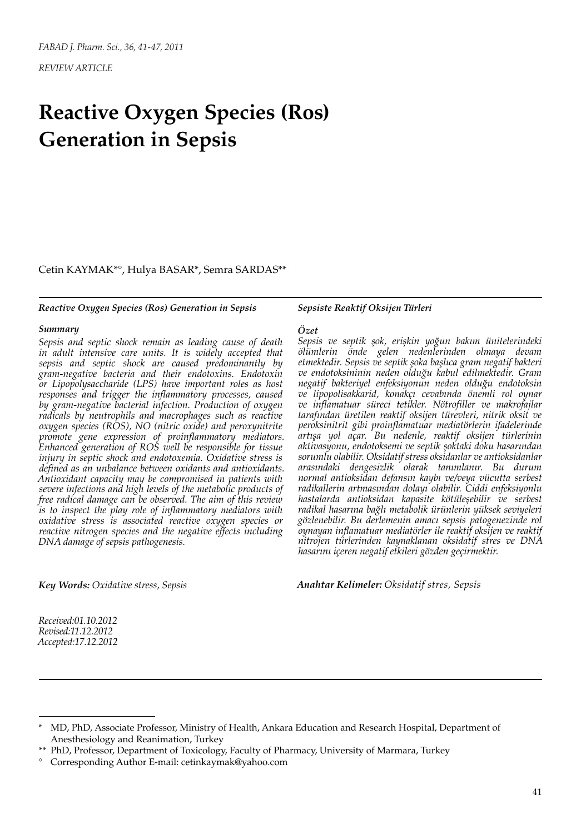*REVIEW ARTICLE*

# **Reactive Oxygen Species (Ros) Generation in Sepsis**

Cetin KAYMAK\*°, Hulya BASAR\*, Semra SARDAS\*\*

#### *Reactive Oxygen Species (Ros) Generation in Sepsis*

### *Summary*

*Sepsis and septic shock remain as leading cause of death*  in adult intensive care units. It is widely accepted that *sepsis and septic shock are caused predominantly by gram-negative bacteria and their endotoxins. Endotoxin or Lipopolysaccharide (LPS) have important roles as host responses and trigger the inflammatory processes, caused by gram-negative bacterial infection. Production of oxygen radicals by neutrophils and macrophages such as reactive oxygen species (ROS), NO (nitric oxide) and peroxynitrite promote gene expression of proinflammatory mediators. Enhanced generation of ROS well be responsible for tissue injury in septic shock and endotoxemia. Oxidative stress is defined as an unbalance between oxidants and antioxidants. Antioxidant capacity may be compromised in patients with severe infections and high levels of the metabolic products of free radical damage can be observed. The aim of this review is to inspect the play role of inflammatory mediators with oxidative stress is associated reactive oxygen species or reactive nitrogen species and the negative effects including DNA damage of sepsis pathogenesis.*

### *Sepsiste Reaktif Oksijen Türleri*

## *Özet*

*Sepsis ve septik şok, erişkin yoğun bakım ünitelerindeki ölümlerin önde gelen nedenlerinden olmaya devam etmektedir. Sepsis ve septik şoka başlıca gram negatif bakteri ve endotoksininin neden olduğu kabul edilmektedir. Gram negatif bakteriyel enfeksiyonun neden olduğu endotoksin ve lipopolisakkarid, konakçı cevabında önemli rol oynar ve inflamatuar süreci tetikler. Nötrofiller ve makrofajlar tarafından üretilen reaktif oksijen türevleri, nitrik oksit ve peroksinitrit gibi proinflamatuar mediatörlerin ifadelerinde artışa yol açar. Bu nedenle, reaktif oksijen türlerinin aktivasyonu, endotoksemi ve septik şoktaki doku hasarından sorumlu olabilir. Oksidatif stress oksidanlar ve antioksidanlar arasındaki dengesizlik olarak tanımlanır. Bu durum normal antioksidan defansın kaybı ve/veya vücutta serbest radikallerin artmasından dolayı olabilir. Ciddi enfeksiyonlu hastalarda antioksidan kapasite kötüleşebilir ve serbest radikal hasarına bağlı metabolik ürünlerin yüksek seviyeleri gözlenebilir. Bu derlemenin amacı sepsis patogenezinde rol oynayan inflamatuar mediatörler ile reaktif oksijen ve reaktif nitrojen türlerinden kaynaklanan oksidatif stres ve DNA hasarını içeren negatif etkileri gözden geçirmektir.*

*Key Words: Oxidative stress, Sepsis*

*Anahtar Kelimeler: Oksidatif stres, Sepsis*

*Received:01.10.2012 Revised:11.12.2012 Accepted:17.12.2012*

<sup>\*</sup> MD, PhD, Associate Professor, Ministry of Health, Ankara Education and Research Hospital, Department of Anesthesiology and Reanimation, Turkey

<sup>\*\*</sup> PhD, Professor, Department of Toxicology, Faculty of Pharmacy, University of Marmara, Turkey

<sup>°</sup> Corresponding Author E-mail: cetinkaymak@yahoo.com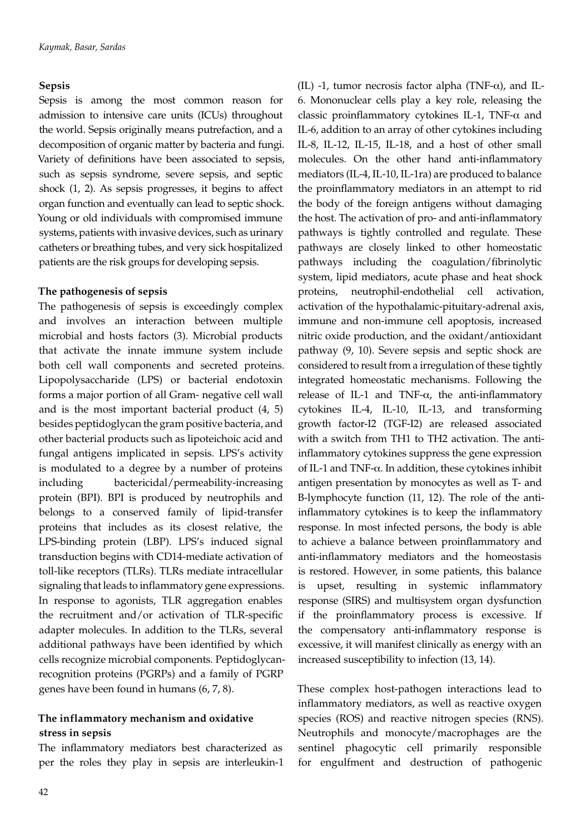# **Sepsis**

Sepsis is among the most common reason for admission to intensive care units (ICUs) throughout the world. Sepsis originally means putrefaction, and a decomposition of organic matter by bacteria and fungi. Variety of definitions have been associated to sepsis, such as sepsis syndrome, severe sepsis, and septic shock (1, 2). As sepsis progresses, it begins to affect organ function and eventually can lead to septic shock. Young or old individuals with compromised immune systems, patients with invasive devices, such as urinary catheters or breathing tubes, and very sick hospitalized patients are the risk groups for developing sepsis.

# **The pathogenesis of sepsis**

The pathogenesis of sepsis is exceedingly complex and involves an interaction between multiple microbial and hosts factors (3). Microbial products that activate the innate immune system include both cell wall components and secreted proteins. Lipopolysaccharide (LPS) or bacterial endotoxin forms a major portion of all Gram- negative cell wall and is the most important bacterial product (4, 5) besides peptidoglycan the gram positive bacteria, and other bacterial products such as lipoteichoic acid and fungal antigens implicated in sepsis. LPS's activity is modulated to a degree by a number of proteins including bactericidal/permeability-increasing protein (BPI). BPI is produced by neutrophils and belongs to a conserved family of lipid-transfer proteins that includes as its closest relative, the LPS-binding protein (LBP). LPS's induced signal transduction begins with CD14-mediate activation of toll-like receptors (TLRs). TLRs mediate intracellular signaling that leads to inflammatory gene expressions. In response to agonists, TLR aggregation enables the recruitment and/or activation of TLR-specific adapter molecules. In addition to the TLRs, several additional pathways have been identified by which cells recognize microbial components. Peptidoglycanrecognition proteins (PGRPs) and a family of PGRP genes have been found in humans (6, 7, 8).

# **The inflammatory mechanism and oxidative stress in sepsis**

The inflammatory mediators best characterized as per the roles they play in sepsis are interleukin-1 (IL) -1, tumor necrosis factor alpha (TNF- $\alpha$ ), and IL-6. Mononuclear cells play a key role, releasing the classic proinflammatory cytokines IL-1, TNF- $\alpha$  and IL-6, addition to an array of other cytokines including IL-8, IL-12, IL-15, IL-18, and a host of other small molecules. On the other hand anti-inflammatory mediators (IL-4, IL-10, IL-1ra) are produced to balance the proinflammatory mediators in an attempt to rid the body of the foreign antigens without damaging the host. The activation of pro- and anti-inflammatory pathways is tightly controlled and regulate. These pathways are closely linked to other homeostatic pathways including the coagulation/fibrinolytic system, lipid mediators, acute phase and heat shock proteins, neutrophil-endothelial cell activation, activation of the hypothalamic-pituitary-adrenal axis, immune and non-immune cell apoptosis, increased nitric oxide production, and the oxidant/antioxidant pathway (9, 10). Severe sepsis and septic shock are considered to result from a irregulation of these tightly integrated homeostatic mechanisms. Following the release of IL-1 and TNF- $\alpha$ , the anti-inflammatory cytokines IL-4, IL-10, IL-13, and transforming growth factor-I2 (TGF-I2) are released associated with a switch from TH1 to TH2 activation. The antiinflammatory cytokines suppress the gene expression of IL-1 and TNF-α. In addition, these cytokines inhibit antigen presentation by monocytes as well as T- and B-lymphocyte function (11, 12). The role of the antiinflammatory cytokines is to keep the inflammatory response. In most infected persons, the body is able to achieve a balance between proinflammatory and anti-inflammatory mediators and the homeostasis is restored. However, in some patients, this balance is upset, resulting in systemic inflammatory response (SIRS) and multisystem organ dysfunction if the proinflammatory process is excessive. If the compensatory anti-inflammatory response is excessive, it will manifest clinically as energy with an increased susceptibility to infection (13, 14).

These complex host-pathogen interactions lead to inflammatory mediators, as well as reactive oxygen species (ROS) and reactive nitrogen species (RNS). Neutrophils and monocyte/macrophages are the sentinel phagocytic cell primarily responsible for engulfment and destruction of pathogenic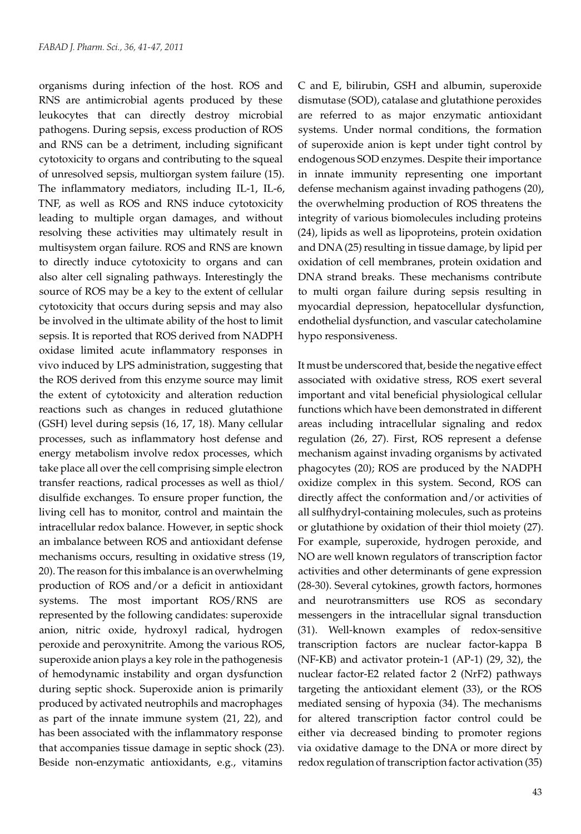organisms during infection of the host. ROS and RNS are antimicrobial agents produced by these leukocytes that can directly destroy microbial pathogens. During sepsis, excess production of ROS and RNS can be a detriment, including significant cytotoxicity to organs and contributing to the squeal of unresolved sepsis, multiorgan system failure (15). The inflammatory mediators, including IL-1, IL-6, TNF, as well as ROS and RNS induce cytotoxicity leading to multiple organ damages, and without resolving these activities may ultimately result in multisystem organ failure. ROS and RNS are known to directly induce cytotoxicity to organs and can also alter cell signaling pathways. Interestingly the source of ROS may be a key to the extent of cellular cytotoxicity that occurs during sepsis and may also be involved in the ultimate ability of the host to limit sepsis. It is reported that ROS derived from NADPH oxidase limited acute inflammatory responses in vivo induced by LPS administration, suggesting that the ROS derived from this enzyme source may limit the extent of cytotoxicity and alteration reduction reactions such as changes in reduced glutathione (GSH) level during sepsis (16, 17, 18). Many cellular processes, such as inflammatory host defense and energy metabolism involve redox processes, which take place all over the cell comprising simple electron transfer reactions, radical processes as well as thiol/ disulfide exchanges. To ensure proper function, the living cell has to monitor, control and maintain the intracellular redox balance. However, in septic shock an imbalance between ROS and antioxidant defense mechanisms occurs, resulting in oxidative stress (19, 20). The reason for this imbalance is an overwhelming production of ROS and/or a deficit in antioxidant systems. The most important ROS/RNS are represented by the following candidates: superoxide anion, nitric oxide, hydroxyl radical, hydrogen peroxide and peroxynitrite. Among the various ROS, superoxide anion plays a key role in the pathogenesis of hemodynamic instability and organ dysfunction during septic shock. Superoxide anion is primarily produced by activated neutrophils and macrophages as part of the innate immune system (21, 22), and has been associated with the inflammatory response that accompanies tissue damage in septic shock (23). Beside non-enzymatic antioxidants, e.g., vitamins

C and E, bilirubin, GSH and albumin, superoxide dismutase (SOD), catalase and glutathione peroxides are referred to as major enzymatic antioxidant systems. Under normal conditions, the formation of superoxide anion is kept under tight control by endogenous SOD enzymes. Despite their importance in innate immunity representing one important defense mechanism against invading pathogens (20), the overwhelming production of ROS threatens the integrity of various biomolecules including proteins (24), lipids as well as lipoproteins, protein oxidation and DNA (25) resulting in tissue damage, by lipid per oxidation of cell membranes, protein oxidation and DNA strand breaks. These mechanisms contribute to multi organ failure during sepsis resulting in myocardial depression, hepatocellular dysfunction, endothelial dysfunction, and vascular catecholamine hypo responsiveness.

It must be underscored that, beside the negative effect associated with oxidative stress, ROS exert several important and vital beneficial physiological cellular functions which have been demonstrated in different areas including intracellular signaling and redox regulation (26, 27). First, ROS represent a defense mechanism against invading organisms by activated phagocytes (20); ROS are produced by the NADPH oxidize complex in this system. Second, ROS can directly affect the conformation and/or activities of all sulfhydryl-containing molecules, such as proteins or glutathione by oxidation of their thiol moiety (27). For example, superoxide, hydrogen peroxide, and NO are well known regulators of transcription factor activities and other determinants of gene expression (28-30). Several cytokines, growth factors, hormones and neurotransmitters use ROS as secondary messengers in the intracellular signal transduction (31). Well-known examples of redox-sensitive transcription factors are nuclear factor-kappa B (NF-KB) and activator protein-1 (AP-1) (29, 32), the nuclear factor-E2 related factor 2 (NrF2) pathways targeting the antioxidant element (33), or the ROS mediated sensing of hypoxia (34). The mechanisms for altered transcription factor control could be either via decreased binding to promoter regions via oxidative damage to the DNA or more direct by redox regulation of transcription factor activation (35)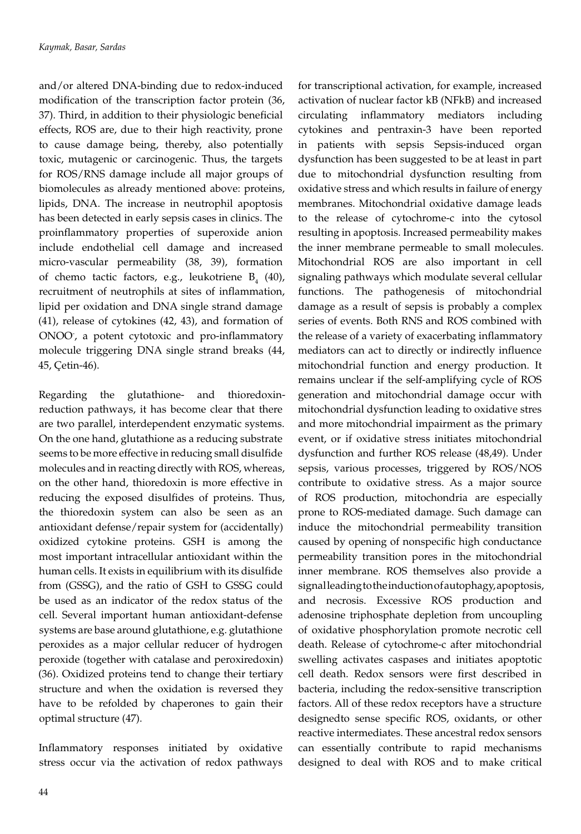and/or altered DNA-binding due to redox-induced modification of the transcription factor protein (36, 37). Third, in addition to their physiologic beneficial effects, ROS are, due to their high reactivity, prone to cause damage being, thereby, also potentially toxic, mutagenic or carcinogenic. Thus, the targets for ROS/RNS damage include all major groups of biomolecules as already mentioned above: proteins, lipids, DNA. The increase in neutrophil apoptosis has been detected in early sepsis cases in clinics. The proinflammatory properties of superoxide anion include endothelial cell damage and increased micro-vascular permeability (38, 39), formation of chemo tactic factors, e.g., leukotriene  $B_4$  (40), recruitment of neutrophils at sites of inflammation, lipid per oxidation and DNA single strand damage (41), release of cytokines (42, 43), and formation of ONOO- , a potent cytotoxic and pro-inflammatory molecule triggering DNA single strand breaks (44, 45, Çetin-46).

Regarding the glutathione- and thioredoxinreduction pathways, it has become clear that there are two parallel, interdependent enzymatic systems. On the one hand, glutathione as a reducing substrate seems to be more effective in reducing small disulfide molecules and in reacting directly with ROS, whereas, on the other hand, thioredoxin is more effective in reducing the exposed disulfides of proteins. Thus, the thioredoxin system can also be seen as an antioxidant defense/repair system for (accidentally) oxidized cytokine proteins. GSH is among the most important intracellular antioxidant within the human cells. It exists in equilibrium with its disulfide from (GSSG), and the ratio of GSH to GSSG could be used as an indicator of the redox status of the cell. Several important human antioxidant-defense systems are base around glutathione, e.g. glutathione peroxides as a major cellular reducer of hydrogen peroxide (together with catalase and peroxiredoxin) (36). Oxidized proteins tend to change their tertiary structure and when the oxidation is reversed they have to be refolded by chaperones to gain their optimal structure (47).

Inflammatory responses initiated by oxidative stress occur via the activation of redox pathways for transcriptional activation, for example, increased activation of nuclear factor kB (NFkB) and increased circulating inflammatory mediators including cytokines and pentraxin-3 have been reported in patients with sepsis Sepsis-induced organ dysfunction has been suggested to be at least in part due to mitochondrial dysfunction resulting from oxidative stress and which results in failure of energy membranes. Mitochondrial oxidative damage leads to the release of cytochrome-c into the cytosol resulting in apoptosis. Increased permeability makes the inner membrane permeable to small molecules. Mitochondrial ROS are also important in cell signaling pathways which modulate several cellular functions. The pathogenesis of mitochondrial damage as a result of sepsis is probably a complex series of events. Both RNS and ROS combined with the release of a variety of exacerbating inflammatory mediators can act to directly or indirectly influence mitochondrial function and energy production. It remains unclear if the self-amplifying cycle of ROS generation and mitochondrial damage occur with mitochondrial dysfunction leading to oxidative stres and more mitochondrial impairment as the primary event, or if oxidative stress initiates mitochondrial dysfunction and further ROS release (48,49). Under sepsis, various processes, triggered by ROS/NOS contribute to oxidative stress. As a major source of ROS production, mitochondria are especially prone to ROS-mediated damage. Such damage can induce the mitochondrial permeability transition caused by opening of nonspecific high conductance permeability transition pores in the mitochondrial inner membrane. ROS themselves also provide a signal leading to the induction of autophagy, apoptosis, and necrosis. Excessive ROS production and adenosine triphosphate depletion from uncoupling of oxidative phosphorylation promote necrotic cell death. Release of cytochrome-c after mitochondrial swelling activates caspases and initiates apoptotic cell death. Redox sensors were first described in bacteria, including the redox-sensitive transcription factors. All of these redox receptors have a structure designedto sense specific ROS, oxidants, or other reactive intermediates. These ancestral redox sensors can essentially contribute to rapid mechanisms designed to deal with ROS and to make critical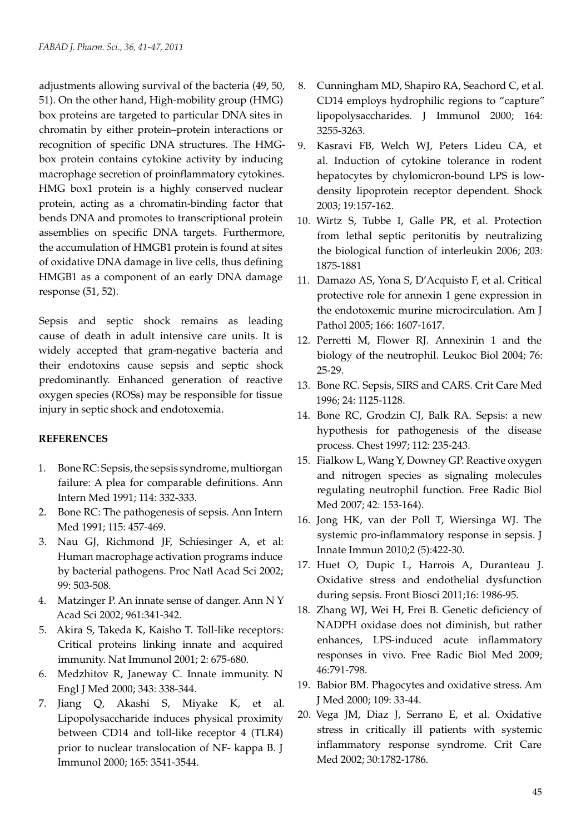adjustments allowing survival of the bacteria (49, 50, 51). On the other hand, High-mobility group (HMG) box proteins are targeted to particular DNA sites in chromatin by either protein–protein interactions or recognition of specific DNA structures. The HMGbox protein contains cytokine activity by inducing macrophage secretion of proinflammatory cytokines. HMG box1 protein is a highly conserved nuclear protein, acting as a chromatin-binding factor that bends DNA and promotes to transcriptional protein assemblies on specific DNA targets. Furthermore, the accumulation of HMGB1 protein is found at sites of oxidative DNA damage in live cells, thus defining HMGB1 as a component of an early DNA damage response (51, 52).

Sepsis and septic shock remains as leading cause of death in adult intensive care units. It is widely accepted that gram-negative bacteria and their endotoxins cause sepsis and septic shock predominantly. Enhanced generation of reactive oxygen species (ROSs) may be responsible for tissue injury in septic shock and endotoxemia.

## **REFERENCES**

- 1. Bone RC: Sepsis, the sepsis syndrome, multiorgan failure: A plea for comparable definitions. Ann Intern Med 1991; 114: 332-333.
- 2. Bone RC: The pathogenesis of sepsis. Ann Intern Med 1991; 115: 457-469.
- 3. Nau GJ, Richmond JF, Schiesinger A, et al: Human macrophage activation programs induce by bacterial pathogens. Proc Natl Acad Sci 2002; 99: 503-508.
- 4. Matzinger P. An innate sense of danger. Ann N Y Acad Sci 2002; 961:341-342.
- 5. Akira S, Takeda K, Kaisho T. Toll-like receptors: Critical proteins linking innate and acquired immunity. Nat Immunol 2001; 2: 675-680.
- 6. Medzhitov R, Janeway C. Innate immunity. N Engl J Med 2000; 343: 338-344.
- 7. Jiang Q, Akashi S, Miyake K, et al. Lipopolysaccharide induces physical proximity between CD14 and toll-like receptor 4 (TLR4) prior to nuclear translocation of NF- kappa B. J Immunol 2000; 165: 3541-3544.
- 8. Cunningham MD, Shapiro RA, Seachord C, et al. CD14 employs hydrophilic regions to "capture" lipopolysaccharides. J Immunol 2000; 164: 3255-3263.
- 9. Kasravi FB, Welch WJ, Peters Lideu CA, et al. Induction of cytokine tolerance in rodent hepatocytes by chylomicron-bound LPS is lowdensity lipoprotein receptor dependent. Shock 2003; 19:157-162.
- 10. Wirtz S, Tubbe I, Galle PR, et al. Protection from lethal septic peritonitis by neutralizing the biological function of interleukin 2006; 203: 1875-1881
- 11. Damazo AS, Yona S, D'Acquisto F, et al. Critical protective role for annexin 1 gene expression in the endotoxemic murine microcirculation. Am J Pathol 2005; 166: 1607-1617.
- 12. Perretti M, Flower RJ. Annexinin 1 and the biology of the neutrophil. Leukoc Biol 2004; 76: 25-29.
- 13. Bone RC. Sepsis, SIRS and CARS. Crit Care Med 1996; 24: 1125-1128.
- 14. Bone RC, Grodzin CJ, Balk RA. Sepsis: a new hypothesis for pathogenesis of the disease process. Chest 1997; 112: 235-243.
- 15. Fialkow L, Wang Y, Downey GP. Reactive oxygen and nitrogen species as signaling molecules regulating neutrophil function. Free Radic Biol Med 2007; 42: 153-164).
- 16. Jong HK, van der Poll T, Wiersinga WJ. The systemic pro-inflammatory response in sepsis. J Innate Immun 2010;2 (5):422-30.
- 17. Huet O, Dupic L, Harrois A, Duranteau J. Oxidative stress and endothelial dysfunction during sepsis. Front Biosci 2011;16: 1986-95.
- 18. Zhang WJ, Wei H, Frei B. Genetic deficiency of NADPH oxidase does not diminish, but rather enhances, LPS-induced acute inflammatory responses in vivo. Free Radic Biol Med 2009; 46:791-798.
- 19. Babior BM. Phagocytes and oxidative stress. Am J Med 2000; 109: 33-44.
- 20. Vega JM, Diaz J, Serrano E, et al. Oxidative stress in critically ill patients with systemic inflammatory response syndrome. Crit Care Med 2002; 30:1782-1786.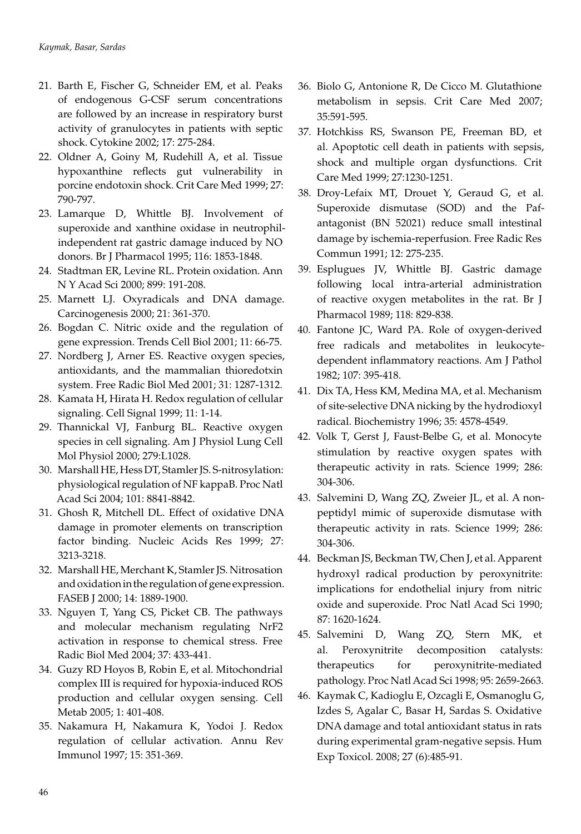- 21. Barth E, Fischer G, Schneider EM, et al. Peaks of endogenous G-CSF serum concentrations are followed by an increase in respiratory burst activity of granulocytes in patients with septic shock. Cytokine 2002; 17: 275-284.
- 22. Oldner A, Goiny M, Rudehill A, et al. Tissue hypoxanthine reflects gut vulnerability in porcine endotoxin shock. Crit Care Med 1999; 27: 790-797.
- 23. Lamarque D, Whittle BJ. Involvement of superoxide and xanthine oxidase in neutrophilindependent rat gastric damage induced by NO donors. Br J Pharmacol 1995; 116: 1853-1848.
- 24. Stadtman ER, Levine RL. Protein oxidation. Ann N Y Acad Sci 2000; 899: 191-208.
- 25. Marnett LJ. Oxyradicals and DNA damage. Carcinogenesis 2000; 21: 361-370.
- 26. Bogdan C. Nitric oxide and the regulation of gene expression. Trends Cell Biol 2001; 11: 66-75.
- 27. Nordberg J, Arner ES. Reactive oxygen species, antioxidants, and the mammalian thioredotxin system. Free Radic Biol Med 2001; 31: 1287-1312.
- 28. Kamata H, Hirata H. Redox regulation of cellular signaling. Cell Signal 1999; 11: 1-14.
- 29. Thannickal VJ, Fanburg BL. Reactive oxygen species in cell signaling. Am J Physiol Lung Cell Mol Physiol 2000; 279:L1028.
- 30. Marshall HE, Hess DT, Stamler JS. S-nitrosylation: physiological regulation of NF kappaB. Proc Natl Acad Sci 2004; 101: 8841-8842.
- 31. Ghosh R, Mitchell DL. Effect of oxidative DNA damage in promoter elements on transcription factor binding. Nucleic Acids Res 1999; 27: 3213-3218.
- 32. Marshall HE, Merchant K, Stamler JS. Nitrosation and oxidation in the regulation of gene expression. FASEB J 2000; 14: 1889-1900.
- 33. Nguyen T, Yang CS, Picket CB. The pathways and molecular mechanism regulating NrF2 activation in response to chemical stress. Free Radic Biol Med 2004; 37: 433-441.
- 34. Guzy RD Hoyos B, Robin E, et al. Mitochondrial complex III is required for hypoxia-induced ROS production and cellular oxygen sensing. Cell Metab 2005; 1: 401-408.
- 35. Nakamura H, Nakamura K, Yodoi J. Redox regulation of cellular activation. Annu Rev Immunol 1997; 15: 351-369.
- 36. Biolo G, Antonione R, De Cicco M. Glutathione metabolism in sepsis. Crit Care Med 2007; 35:591-595.
- 37. Hotchkiss RS, Swanson PE, Freeman BD, et al. Apoptotic cell death in patients with sepsis, shock and multiple organ dysfunctions. Crit Care Med 1999; 27:1230-1251.
- 38. Droy-Lefaix MT, Drouet Y, Geraud G, et al. Superoxide dismutase (SOD) and the Pafantagonist (BN 52021) reduce small intestinal damage by ischemia-reperfusion. Free Radic Res Commun 1991; 12: 275-235.
- 39. Esplugues JV, Whittle BJ. Gastric damage following local intra-arterial administration of reactive oxygen metabolites in the rat. Br J Pharmacol 1989; 118: 829-838.
- 40. Fantone JC, Ward PA. Role of oxygen-derived free radicals and metabolites in leukocytedependent inflammatory reactions. Am J Pathol 1982; 107: 395-418.
- 41. Dix TA, Hess KM, Medina MA, et al. Mechanism of site-selective DNA nicking by the hydrodioxyl radical. Biochemistry 1996; 35: 4578-4549.
- 42. Volk T, Gerst J, Faust-Belbe G, et al. Monocyte stimulation by reactive oxygen spates with therapeutic activity in rats. Science 1999; 286: 304-306.
- 43. Salvemini D, Wang ZQ, Zweier JL, et al. A nonpeptidyl mimic of superoxide dismutase with therapeutic activity in rats. Science 1999; 286: 304-306.
- 44. Beckman JS, Beckman TW, Chen J, et al. Apparent hydroxyl radical production by peroxynitrite: implications for endothelial injury from nitric oxide and superoxide. Proc Natl Acad Sci 1990; 87: 1620-1624.
- 45. Salvemini D, Wang ZQ, Stern MK, et al. Peroxynitrite decomposition catalysts: therapeutics for peroxynitrite-mediated pathology. Proc Natl Acad Sci 1998; 95: 2659-2663.
- 46. Kaymak C, Kadioglu E, Ozcagli E, Osmanoglu G, Izdes S, Agalar C, Basar H, Sardas S. Oxidative DNA damage and total antioxidant status in rats during experimental gram-negative sepsis. Hum Exp Toxicol. 2008; 27 (6):485-91.